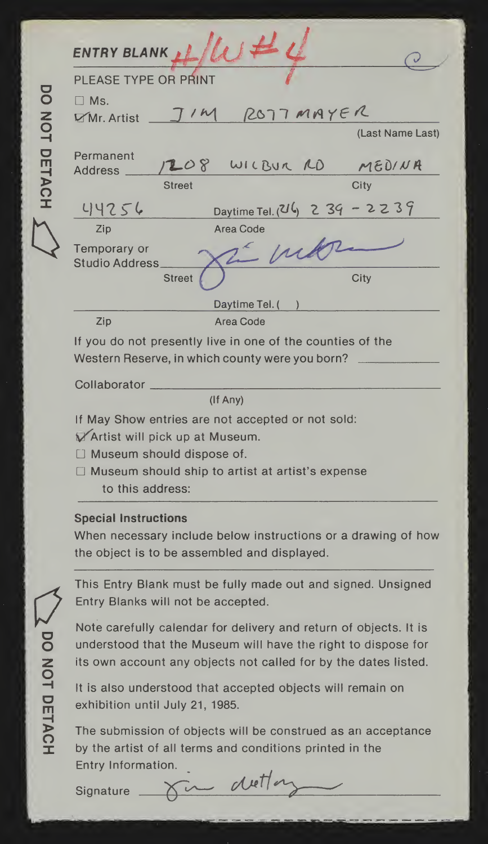| ENTRY BLANK $\mu/\mu \neq$<br>PLEASE TYPE OR PRINT |               |                                                                                                               |                  |
|----------------------------------------------------|---------------|---------------------------------------------------------------------------------------------------------------|------------------|
|                                                    |               |                                                                                                               |                  |
| $\Box$ Ms.<br>$Mn$ . Artist                        |               | ROTTMAYER                                                                                                     |                  |
|                                                    |               |                                                                                                               | (Last Name Last) |
| Permanent<br>Address _                             |               | 208 WILBUR RD MEDINA                                                                                          |                  |
|                                                    | <b>Street</b> |                                                                                                               | City             |
| 44256                                              |               | Daytime Tel. $(216)$ 2 39 - 2 2 3 9                                                                           |                  |
| Zip                                                |               | Area Code                                                                                                     |                  |
| Temporary or<br>Studio Address                     |               | $2 - \mu$                                                                                                     |                  |
|                                                    | <b>Street</b> |                                                                                                               | City             |
|                                                    |               | Daytime Tel. (                                                                                                |                  |
| Zip                                                |               | Area Code                                                                                                     |                  |
|                                                    |               | If you do not presently live in one of the counties of the<br>Western Reserve, in which county were you born? |                  |
| Collaborator                                       |               |                                                                                                               |                  |
|                                                    |               | (If Any)                                                                                                      |                  |
|                                                    |               | If May Show entries are not accepted or not sold:                                                             |                  |
| Artist will pick up at Museum.                     |               |                                                                                                               |                  |
| $\Box$ Museum should dispose of.                   |               |                                                                                                               |                  |
|                                                    |               | $\Box$ Mussime should ship to settlet at settletic support                                                    |                  |

Museum should ship to artist at artist's expense to this address:

## Special Instructions

When necessary include below instructions or a drawing of how the object is to be assembled and displayed.

This Entry Blank must be fully made out and signed. Unsigned Entry Blanks will not be accepted.

Note carefully calendar for delivery and return of objects. It is understood that the Museum will have the right to dispose for its own account any objects not called for by the dates listed.

It is also understood that accepted objects will remain on exhibition until July 21, 1985.

The submission of objects will be construed as an acceptance by the artist of all terms and conditions printed in the Entry Information.<br>Signature  $\overbrace{\phantom{xxxxx}}^{\text{Cov}}$ 

**S DO NOT DETACH**